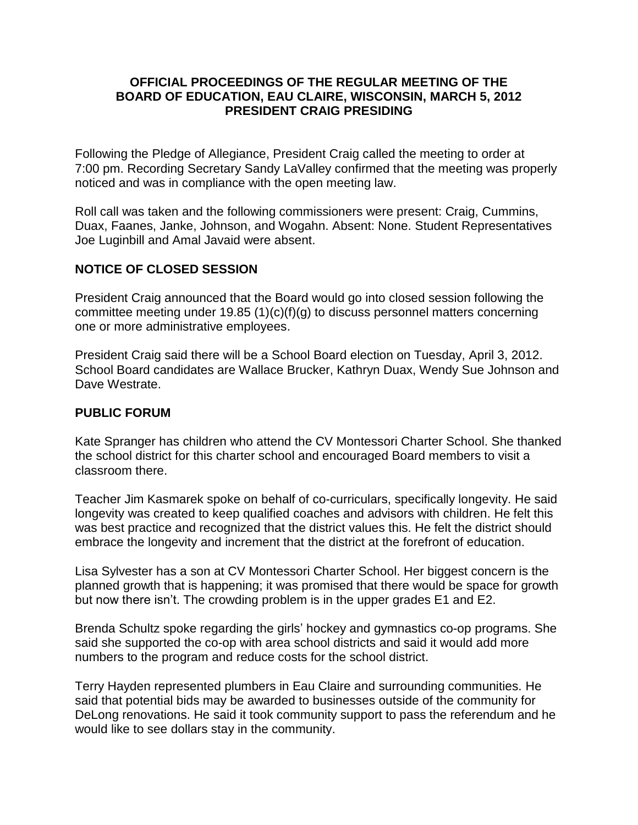### **OFFICIAL PROCEEDINGS OF THE REGULAR MEETING OF THE BOARD OF EDUCATION, EAU CLAIRE, WISCONSIN, MARCH 5, 2012 PRESIDENT CRAIG PRESIDING**

Following the Pledge of Allegiance, President Craig called the meeting to order at 7:00 pm. Recording Secretary Sandy LaValley confirmed that the meeting was properly noticed and was in compliance with the open meeting law.

Roll call was taken and the following commissioners were present: Craig, Cummins, Duax, Faanes, Janke, Johnson, and Wogahn. Absent: None. Student Representatives Joe Luginbill and Amal Javaid were absent.

## **NOTICE OF CLOSED SESSION**

President Craig announced that the Board would go into closed session following the committee meeting under 19.85 (1)(c)(f)(g) to discuss personnel matters concerning one or more administrative employees.

President Craig said there will be a School Board election on Tuesday, April 3, 2012. School Board candidates are Wallace Brucker, Kathryn Duax, Wendy Sue Johnson and Dave Westrate.

### **PUBLIC FORUM**

Kate Spranger has children who attend the CV Montessori Charter School. She thanked the school district for this charter school and encouraged Board members to visit a classroom there.

Teacher Jim Kasmarek spoke on behalf of co-curriculars, specifically longevity. He said longevity was created to keep qualified coaches and advisors with children. He felt this was best practice and recognized that the district values this. He felt the district should embrace the longevity and increment that the district at the forefront of education.

Lisa Sylvester has a son at CV Montessori Charter School. Her biggest concern is the planned growth that is happening; it was promised that there would be space for growth but now there isn't. The crowding problem is in the upper grades E1 and E2.

Brenda Schultz spoke regarding the girls' hockey and gymnastics co-op programs. She said she supported the co-op with area school districts and said it would add more numbers to the program and reduce costs for the school district.

Terry Hayden represented plumbers in Eau Claire and surrounding communities. He said that potential bids may be awarded to businesses outside of the community for DeLong renovations. He said it took community support to pass the referendum and he would like to see dollars stay in the community.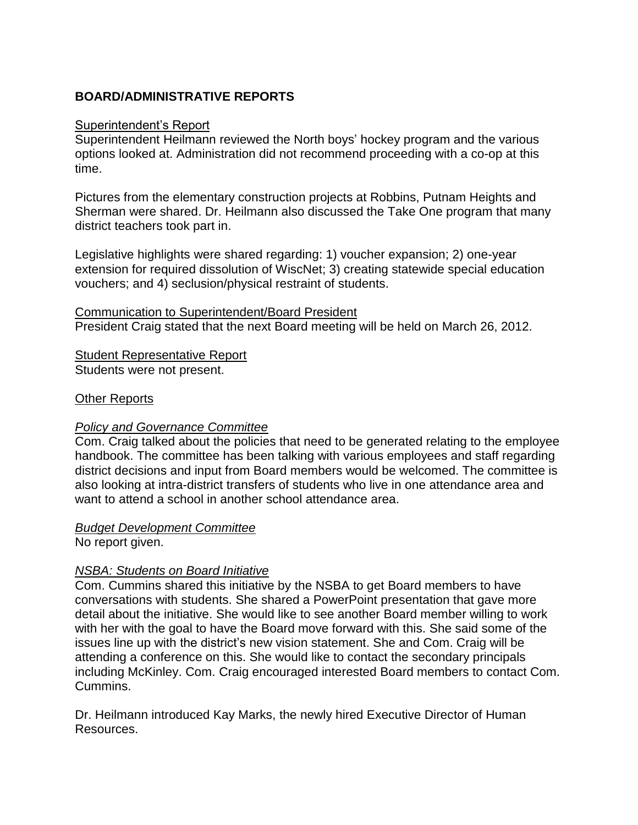# **BOARD/ADMINISTRATIVE REPORTS**

#### Superintendent's Report

Superintendent Heilmann reviewed the North boys' hockey program and the various options looked at. Administration did not recommend proceeding with a co-op at this time.

Pictures from the elementary construction projects at Robbins, Putnam Heights and Sherman were shared. Dr. Heilmann also discussed the Take One program that many district teachers took part in.

Legislative highlights were shared regarding: 1) voucher expansion; 2) one-year extension for required dissolution of WiscNet; 3) creating statewide special education vouchers; and 4) seclusion/physical restraint of students.

Communication to Superintendent/Board President President Craig stated that the next Board meeting will be held on March 26, 2012.

Student Representative Report Students were not present.

### Other Reports

### *Policy and Governance Committee*

Com. Craig talked about the policies that need to be generated relating to the employee handbook. The committee has been talking with various employees and staff regarding district decisions and input from Board members would be welcomed. The committee is also looking at intra-district transfers of students who live in one attendance area and want to attend a school in another school attendance area.

### *Budget Development Committee*

No report given.

### *NSBA: Students on Board Initiative*

Com. Cummins shared this initiative by the NSBA to get Board members to have conversations with students. She shared a PowerPoint presentation that gave more detail about the initiative. She would like to see another Board member willing to work with her with the goal to have the Board move forward with this. She said some of the issues line up with the district's new vision statement. She and Com. Craig will be attending a conference on this. She would like to contact the secondary principals including McKinley. Com. Craig encouraged interested Board members to contact Com. Cummins.

Dr. Heilmann introduced Kay Marks, the newly hired Executive Director of Human Resources.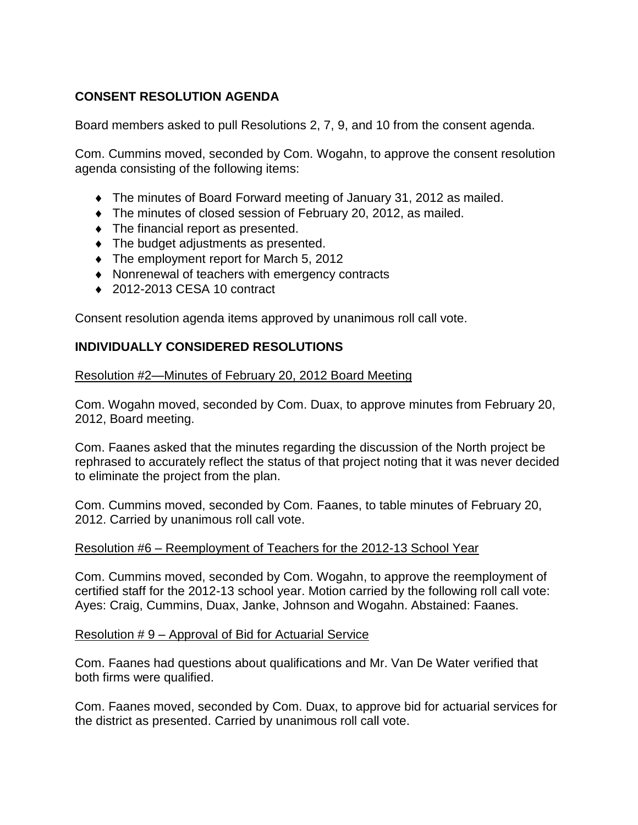# **CONSENT RESOLUTION AGENDA**

Board members asked to pull Resolutions 2, 7, 9, and 10 from the consent agenda.

Com. Cummins moved, seconded by Com. Wogahn, to approve the consent resolution agenda consisting of the following items:

- The minutes of Board Forward meeting of January 31, 2012 as mailed.
- The minutes of closed session of February 20, 2012, as mailed.
- $\bullet$  The financial report as presented.
- The budget adjustments as presented.
- The employment report for March 5, 2012
- Nonrenewal of teachers with emergency contracts
- ◆ 2012-2013 CESA 10 contract

Consent resolution agenda items approved by unanimous roll call vote.

## **INDIVIDUALLY CONSIDERED RESOLUTIONS**

### Resolution #2—Minutes of February 20, 2012 Board Meeting

Com. Wogahn moved, seconded by Com. Duax, to approve minutes from February 20, 2012, Board meeting.

Com. Faanes asked that the minutes regarding the discussion of the North project be rephrased to accurately reflect the status of that project noting that it was never decided to eliminate the project from the plan.

Com. Cummins moved, seconded by Com. Faanes, to table minutes of February 20, 2012. Carried by unanimous roll call vote.

### Resolution #6 – Reemployment of Teachers for the 2012-13 School Year

Com. Cummins moved, seconded by Com. Wogahn, to approve the reemployment of certified staff for the 2012-13 school year. Motion carried by the following roll call vote: Ayes: Craig, Cummins, Duax, Janke, Johnson and Wogahn. Abstained: Faanes.

### Resolution # 9 – Approval of Bid for Actuarial Service

Com. Faanes had questions about qualifications and Mr. Van De Water verified that both firms were qualified.

Com. Faanes moved, seconded by Com. Duax, to approve bid for actuarial services for the district as presented. Carried by unanimous roll call vote.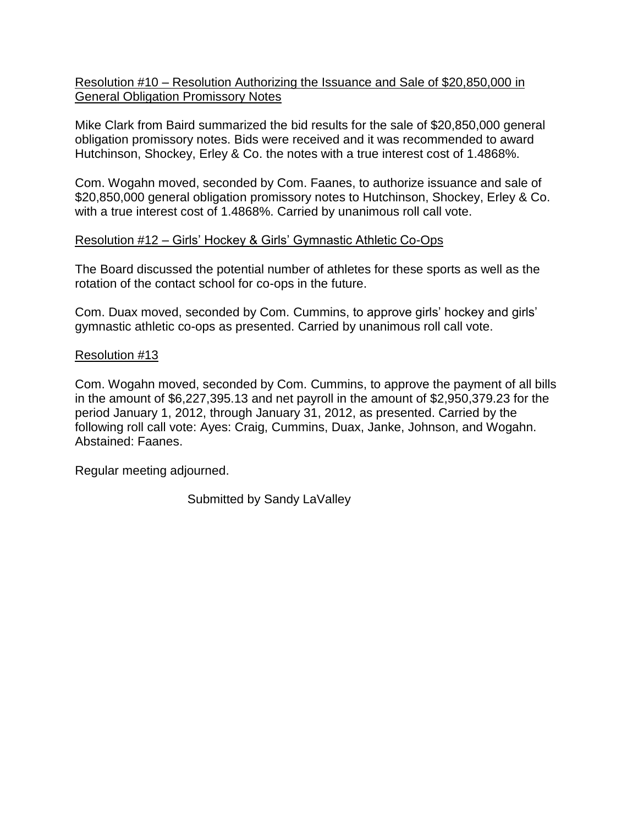### Resolution #10 – Resolution Authorizing the Issuance and Sale of \$20,850,000 in General Obligation Promissory Notes

Mike Clark from Baird summarized the bid results for the sale of \$20,850,000 general obligation promissory notes. Bids were received and it was recommended to award Hutchinson, Shockey, Erley & Co. the notes with a true interest cost of 1.4868%.

Com. Wogahn moved, seconded by Com. Faanes, to authorize issuance and sale of \$20,850,000 general obligation promissory notes to Hutchinson, Shockey, Erley & Co. with a true interest cost of 1.4868%. Carried by unanimous roll call vote.

## Resolution #12 – Girls' Hockey & Girls' Gymnastic Athletic Co-Ops

The Board discussed the potential number of athletes for these sports as well as the rotation of the contact school for co-ops in the future.

Com. Duax moved, seconded by Com. Cummins, to approve girls' hockey and girls' gymnastic athletic co-ops as presented. Carried by unanimous roll call vote.

## Resolution #13

Com. Wogahn moved, seconded by Com. Cummins, to approve the payment of all bills in the amount of \$6,227,395.13 and net payroll in the amount of \$2,950,379.23 for the period January 1, 2012, through January 31, 2012, as presented. Carried by the following roll call vote: Ayes: Craig, Cummins, Duax, Janke, Johnson, and Wogahn. Abstained: Faanes.

Regular meeting adjourned.

Submitted by Sandy LaValley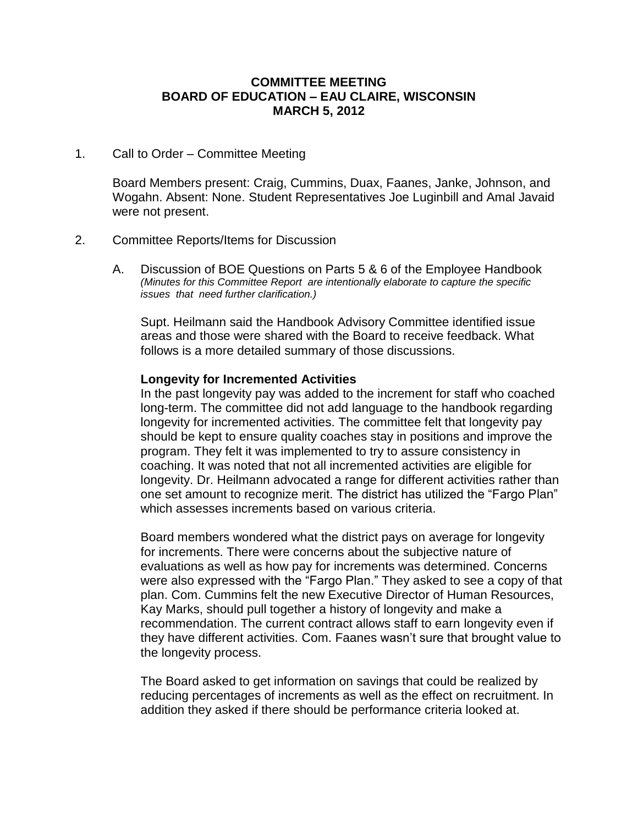#### **COMMITTEE MEETING BOARD OF EDUCATION – EAU CLAIRE, WISCONSIN MARCH 5, 2012**

#### 1. Call to Order – Committee Meeting

Board Members present: Craig, Cummins, Duax, Faanes, Janke, Johnson, and Wogahn. Absent: None. Student Representatives Joe Luginbill and Amal Javaid were not present.

#### 2. Committee Reports/Items for Discussion

A. Discussion of BOE Questions on Parts 5 & 6 of the Employee Handbook *(Minutes for this Committee Report are intentionally elaborate to capture the specific issues that need further clarification.)*

Supt. Heilmann said the Handbook Advisory Committee identified issue areas and those were shared with the Board to receive feedback. What follows is a more detailed summary of those discussions.

#### **Longevity for Incremented Activities**

In the past longevity pay was added to the increment for staff who coached long-term. The committee did not add language to the handbook regarding longevity for incremented activities. The committee felt that longevity pay should be kept to ensure quality coaches stay in positions and improve the program. They felt it was implemented to try to assure consistency in coaching. It was noted that not all incremented activities are eligible for longevity. Dr. Heilmann advocated a range for different activities rather than one set amount to recognize merit. The district has utilized the "Fargo Plan" which assesses increments based on various criteria.

Board members wondered what the district pays on average for longevity for increments. There were concerns about the subjective nature of evaluations as well as how pay for increments was determined. Concerns were also expressed with the "Fargo Plan." They asked to see a copy of that plan. Com. Cummins felt the new Executive Director of Human Resources, Kay Marks, should pull together a history of longevity and make a recommendation. The current contract allows staff to earn longevity even if they have different activities. Com. Faanes wasn't sure that brought value to the longevity process.

The Board asked to get information on savings that could be realized by reducing percentages of increments as well as the effect on recruitment. In addition they asked if there should be performance criteria looked at.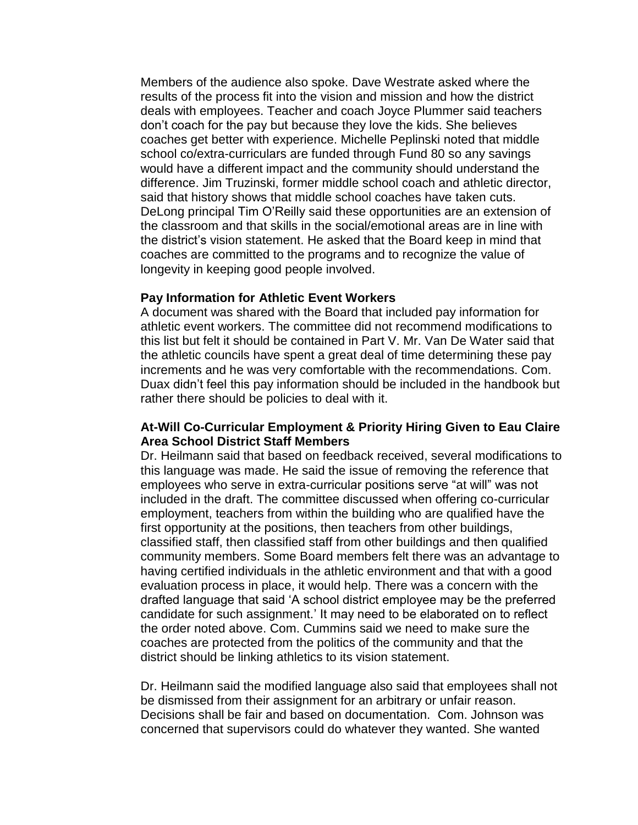Members of the audience also spoke. Dave Westrate asked where the results of the process fit into the vision and mission and how the district deals with employees. Teacher and coach Joyce Plummer said teachers don't coach for the pay but because they love the kids. She believes coaches get better with experience. Michelle Peplinski noted that middle school co/extra-curriculars are funded through Fund 80 so any savings would have a different impact and the community should understand the difference. Jim Truzinski, former middle school coach and athletic director, said that history shows that middle school coaches have taken cuts. DeLong principal Tim O'Reilly said these opportunities are an extension of the classroom and that skills in the social/emotional areas are in line with the district's vision statement. He asked that the Board keep in mind that coaches are committed to the programs and to recognize the value of longevity in keeping good people involved.

#### **Pay Information for Athletic Event Workers**

A document was shared with the Board that included pay information for athletic event workers. The committee did not recommend modifications to this list but felt it should be contained in Part V. Mr. Van De Water said that the athletic councils have spent a great deal of time determining these pay increments and he was very comfortable with the recommendations. Com. Duax didn't feel this pay information should be included in the handbook but rather there should be policies to deal with it.

#### **At-Will Co-Curricular Employment & Priority Hiring Given to Eau Claire Area School District Staff Members**

Dr. Heilmann said that based on feedback received, several modifications to this language was made. He said the issue of removing the reference that employees who serve in extra-curricular positions serve "at will" was not included in the draft. The committee discussed when offering co-curricular employment, teachers from within the building who are qualified have the first opportunity at the positions, then teachers from other buildings, classified staff, then classified staff from other buildings and then qualified community members. Some Board members felt there was an advantage to having certified individuals in the athletic environment and that with a good evaluation process in place, it would help. There was a concern with the drafted language that said 'A school district employee may be the preferred candidate for such assignment.' It may need to be elaborated on to reflect the order noted above. Com. Cummins said we need to make sure the coaches are protected from the politics of the community and that the district should be linking athletics to its vision statement.

Dr. Heilmann said the modified language also said that employees shall not be dismissed from their assignment for an arbitrary or unfair reason. Decisions shall be fair and based on documentation. Com. Johnson was concerned that supervisors could do whatever they wanted. She wanted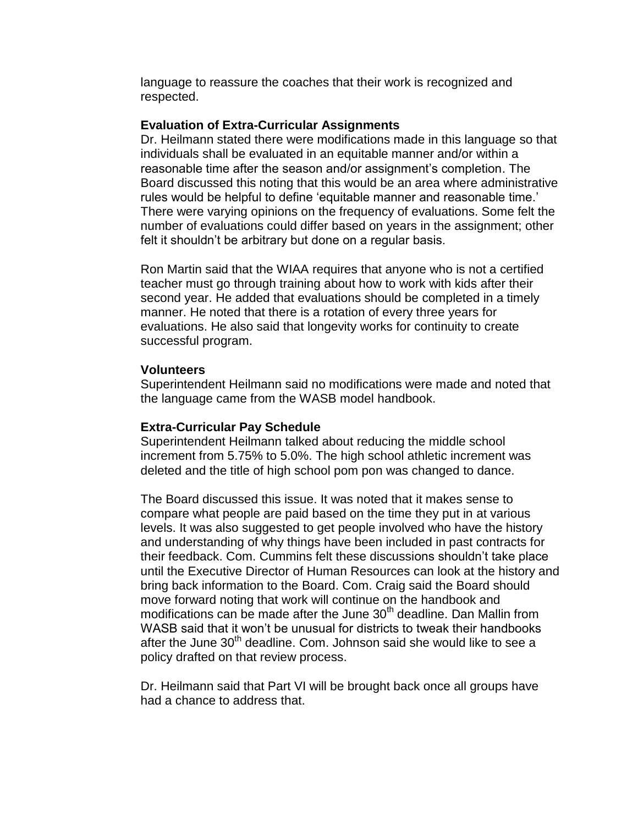language to reassure the coaches that their work is recognized and respected.

#### **Evaluation of Extra-Curricular Assignments**

Dr. Heilmann stated there were modifications made in this language so that individuals shall be evaluated in an equitable manner and/or within a reasonable time after the season and/or assignment's completion. The Board discussed this noting that this would be an area where administrative rules would be helpful to define 'equitable manner and reasonable time.' There were varying opinions on the frequency of evaluations. Some felt the number of evaluations could differ based on years in the assignment; other felt it shouldn't be arbitrary but done on a regular basis.

Ron Martin said that the WIAA requires that anyone who is not a certified teacher must go through training about how to work with kids after their second year. He added that evaluations should be completed in a timely manner. He noted that there is a rotation of every three years for evaluations. He also said that longevity works for continuity to create successful program.

#### **Volunteers**

Superintendent Heilmann said no modifications were made and noted that the language came from the WASB model handbook.

#### **Extra-Curricular Pay Schedule**

Superintendent Heilmann talked about reducing the middle school increment from 5.75% to 5.0%. The high school athletic increment was deleted and the title of high school pom pon was changed to dance.

The Board discussed this issue. It was noted that it makes sense to compare what people are paid based on the time they put in at various levels. It was also suggested to get people involved who have the history and understanding of why things have been included in past contracts for their feedback. Com. Cummins felt these discussions shouldn't take place until the Executive Director of Human Resources can look at the history and bring back information to the Board. Com. Craig said the Board should move forward noting that work will continue on the handbook and modifications can be made after the June  $30<sup>th</sup>$  deadline. Dan Mallin from WASB said that it won't be unusual for districts to tweak their handbooks after the June  $30<sup>th</sup>$  deadline. Com. Johnson said she would like to see a policy drafted on that review process.

Dr. Heilmann said that Part VI will be brought back once all groups have had a chance to address that.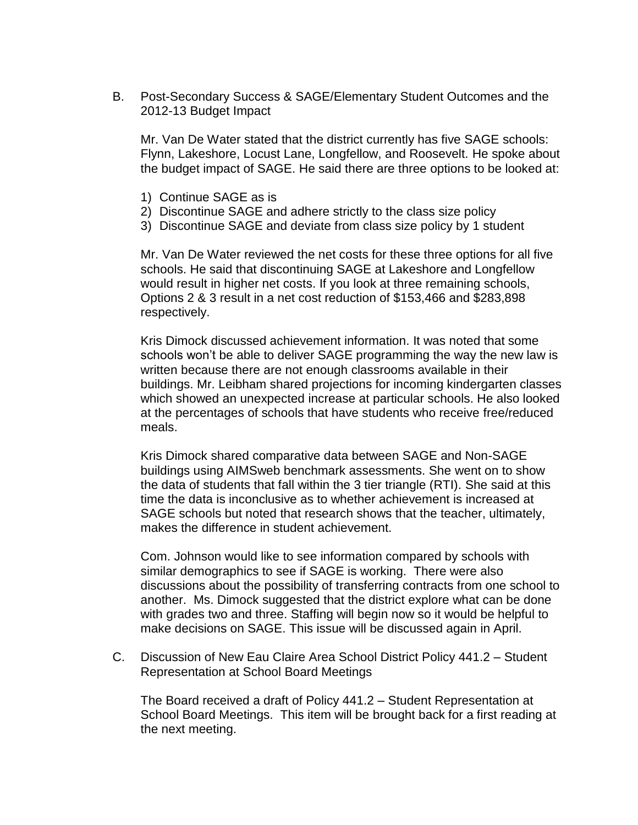B. Post-Secondary Success & SAGE/Elementary Student Outcomes and the 2012-13 Budget Impact

Mr. Van De Water stated that the district currently has five SAGE schools: Flynn, Lakeshore, Locust Lane, Longfellow, and Roosevelt. He spoke about the budget impact of SAGE. He said there are three options to be looked at:

- 1) Continue SAGE as is
- 2) Discontinue SAGE and adhere strictly to the class size policy
- 3) Discontinue SAGE and deviate from class size policy by 1 student

Mr. Van De Water reviewed the net costs for these three options for all five schools. He said that discontinuing SAGE at Lakeshore and Longfellow would result in higher net costs. If you look at three remaining schools, Options 2 & 3 result in a net cost reduction of \$153,466 and \$283,898 respectively.

Kris Dimock discussed achievement information. It was noted that some schools won't be able to deliver SAGE programming the way the new law is written because there are not enough classrooms available in their buildings. Mr. Leibham shared projections for incoming kindergarten classes which showed an unexpected increase at particular schools. He also looked at the percentages of schools that have students who receive free/reduced meals.

Kris Dimock shared comparative data between SAGE and Non-SAGE buildings using AIMSweb benchmark assessments. She went on to show the data of students that fall within the 3 tier triangle (RTI). She said at this time the data is inconclusive as to whether achievement is increased at SAGE schools but noted that research shows that the teacher, ultimately, makes the difference in student achievement.

Com. Johnson would like to see information compared by schools with similar demographics to see if SAGE is working. There were also discussions about the possibility of transferring contracts from one school to another. Ms. Dimock suggested that the district explore what can be done with grades two and three. Staffing will begin now so it would be helpful to make decisions on SAGE. This issue will be discussed again in April.

C. Discussion of New Eau Claire Area School District Policy 441.2 – Student Representation at School Board Meetings

The Board received a draft of Policy 441.2 – Student Representation at School Board Meetings. This item will be brought back for a first reading at the next meeting.